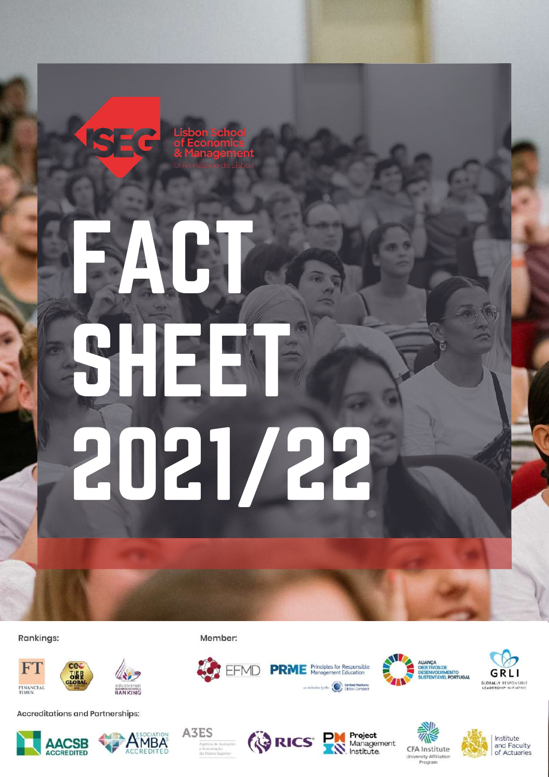

# FACT. SHEET 2021/22

**Rankings:** 





**Accreditations and Partnerships:** 







Member:



**TEFMD PRME** 





Institute and Faculty of Actuaries





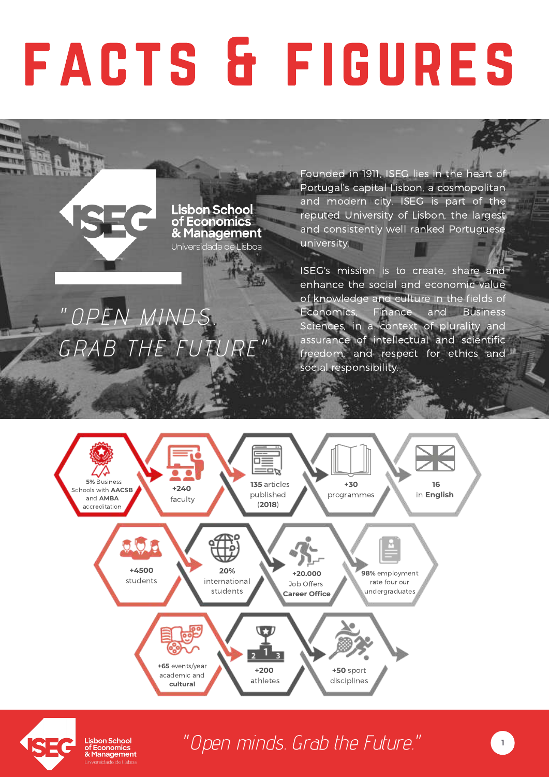# facts & figures

**Lisbon School** of Economics & Management Universidade de Lisboa

**1967 198** 

"OPEN MINDS.

GRAB THE FUTURI

Founded in 1911, ISEG lies in the heart of Portugal's capital Lisbon, a cosmopolitan and modern city. ISEG is part of the reputed University of Lisbon, the largest and consistently well ranked Portuguese university.

ISEG's mission is to create, share and enhance the social and economic value of knowledge and culture in the fields of Economics, Finance and Business Sciences, in a context of plurality and assurance of intellectual and scientific freedom, and respect for ethics and social responsibility.





Lisbon School of Economics & Management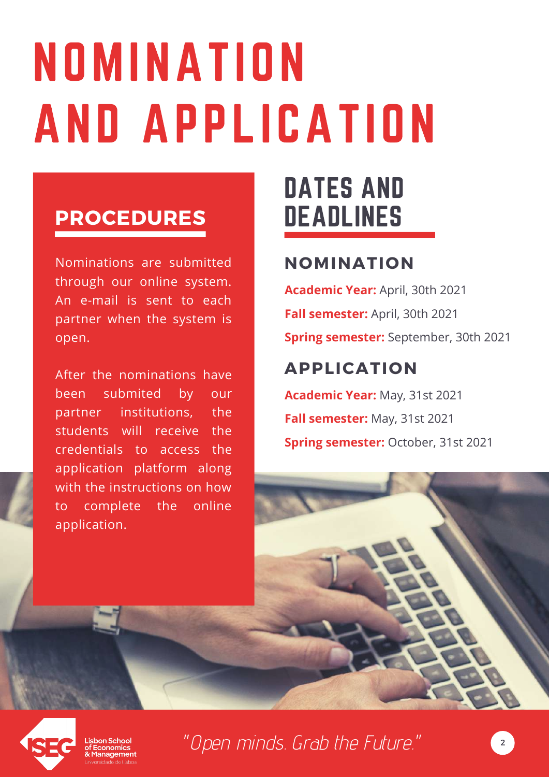# NOMINATION AND APPLICATION

#### **PROCEDURES**

Nominations are submitted through our online system. An e-mail is sent to each partner when the system is open.

After the nominations have been submited by our partner institutions, the students will receive the credentials to access the application platform along with the instructions on how to complete the online application.

## DATES AND DEADLINES

#### **NOMINATION**

**Academic Year:** April, 30th 2021 **Fall semester:** April, 30th 2021 **Spring semester:** September, 30th 2021

#### **APPLICATION**

**Academic Year:** May, 31st 2021 **Fall semester:** May, 31st 2021 **Spring semester:** October, 31st 2021





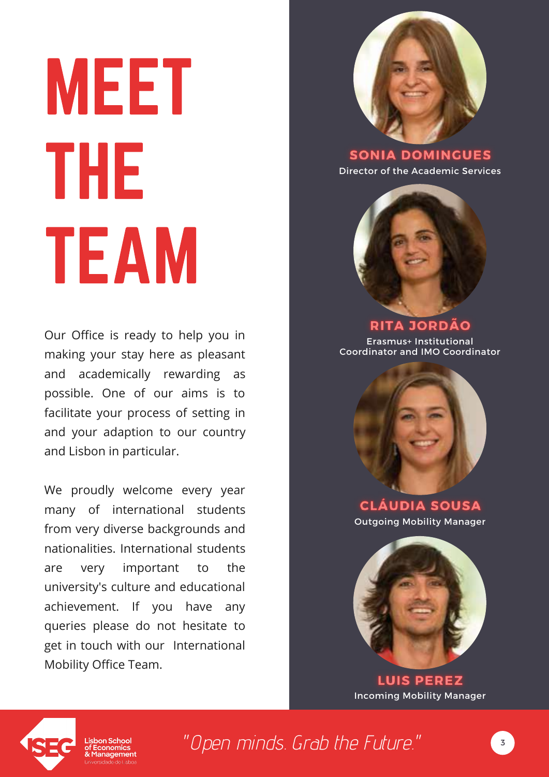# MEET THE TEAM

Our Office is ready to help you in making your stay here as pleasant and academically rewarding as possible. One of our aims is to facilitate your process of setting in and your adaption to our country and Lisbon in particular.

We proudly welcome every year many of international students from very diverse backgrounds and nationalities. International students are very important to the university's culture and educational achievement. If you have any queries please do not hesitate to get in touch with our International Mobility Office Team.



**SONIA DOMINGUES** Director of the Academic Services



#### **RITA JORDÃO**

Erasmus+ Institutional Coordinator and IMO Coordinator



**CLÁUDIA SOUSA** Outgoing Mobility Manager



**LUIS PEREZ** Incoming Mobility Manager

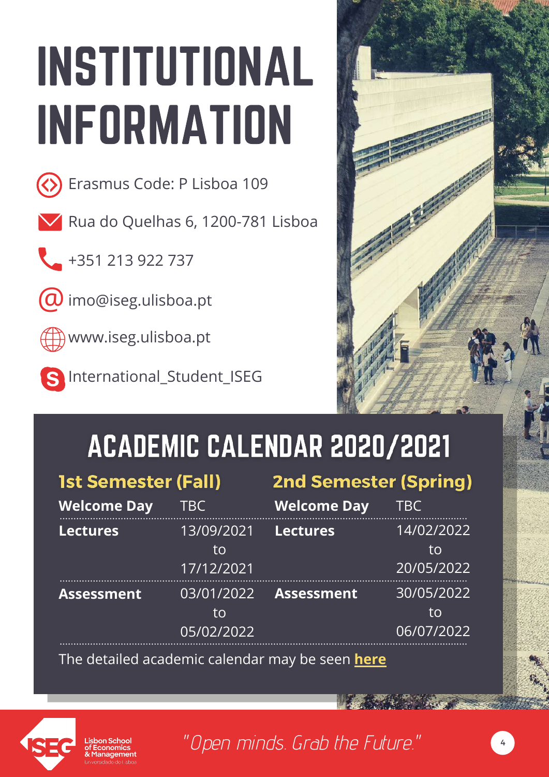# INSTITUTIONAL INFORMATION



**E**rasmus Code: P Lisboa 109

Rua do Quelhas 6, 1200-781 Lisboa

+351 213 922 737

 $\omega$  imo@iseg.ulisboa.pt



www.iseg.ulisboa.pt

International\_Student\_ISEG



4

# ACADEMIC CALENDAR 2020/2021

| <b>1st Semester (Fall)</b> |                                | <b>2nd Semester (Spring)</b> |                                |
|----------------------------|--------------------------------|------------------------------|--------------------------------|
| <b>Welcome Day</b>         | TBC                            | <b>Welcome Day</b>           | <b>TBC</b>                     |
| <b>Lectures</b>            | 13/09/2021<br>to<br>17/12/2021 | <b>Lectures</b>              | 14/02/2022<br>tο<br>20/05/2022 |
| <b>Assessment</b>          | 03/01/2022<br>to<br>05/02/2022 | <b>Assessment</b>            | 30/05/2022<br>tο<br>06/07/2022 |

The detailed academic calendar may be seen **[here](https://www.iseg.ulisboa.pt/aquila/instituicao/ISEG/topo/calendario-do-ano-lectivo/2021-2022?locale=en)**

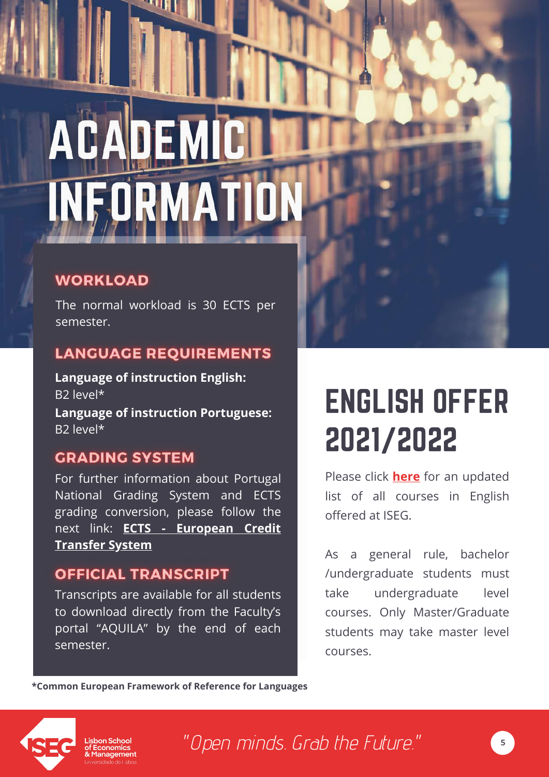# **AC** ORMATI

**THE** 

#### **WORKLOAD**

The normal workload is 30 ECTS per semester.

#### **LANGUAGE REQUIREMENTS**

**Language of instruction English:** B2 level\*

**Language of instruction Portuguese:** B2 level\*

#### **GRADING SYSTEM**

For further information about Portugal National Grading System and ECTS grading conversion, please follow the next link: **ECTS - [European](https://www.iseg.ulisboa.pt/aquila/unidade/ERASMUS/incoming-mobility/academic-information/ects--european-credit-transfer-system) Credit Transfer System**

#### **OFFICIAL TRANSCRIPT**

Transcripts are available for all students to download directly from the Faculty's portal "AQUILA" by the end of each semester.

# ENGLISH OFFER 2021/2022

Please click **[here](https://www.iseg.ulisboa.pt/aquila/unidade/erasmus/incoming-mobility/academic-information)** for an updated list of all courses in English offered at ISEG.

As a general rule, bachelor /undergraduate students must take undergraduate level courses. Only Master/Graduate students may take master level courses.

**\*Common European Framework of Reference for Languages**



on School lanagement